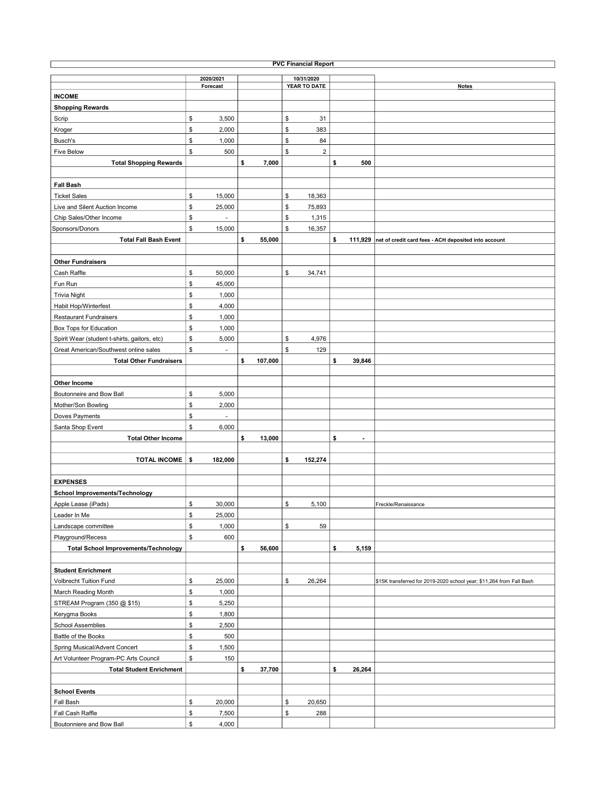| <b>PVC Financial Report</b>                  |           |          |    |         |    |              |    |                |                                                                      |  |  |
|----------------------------------------------|-----------|----------|----|---------|----|--------------|----|----------------|----------------------------------------------------------------------|--|--|
|                                              | 2020/2021 |          |    |         |    | 10/31/2020   |    |                |                                                                      |  |  |
|                                              |           | Forecast |    |         |    | YEAR TO DATE |    |                | <b>Notes</b>                                                         |  |  |
| <b>INCOME</b>                                |           |          |    |         |    |              |    |                |                                                                      |  |  |
| <b>Shopping Rewards</b>                      |           |          |    |         |    |              |    |                |                                                                      |  |  |
| Scrip                                        | \$        | 3,500    |    |         | \$ | 31           |    |                |                                                                      |  |  |
| Kroger                                       | \$        | 2,000    |    |         | \$ | 383          |    |                |                                                                      |  |  |
| Busch's                                      | \$        | 1,000    |    |         | \$ | 84           |    |                |                                                                      |  |  |
| <b>Five Below</b>                            | \$        | 500      |    |         | \$ | $\mathbf 2$  |    |                |                                                                      |  |  |
| <b>Total Shopping Rewards</b>                |           |          | \$ | 7,000   |    |              | \$ | 500            |                                                                      |  |  |
|                                              |           |          |    |         |    |              |    |                |                                                                      |  |  |
| <b>Fall Bash</b>                             |           |          |    |         |    |              |    |                |                                                                      |  |  |
| <b>Ticket Sales</b>                          | \$        | 15,000   |    |         | \$ | 18,363       |    |                |                                                                      |  |  |
| Live and Silent Auction Income               | \$        | 25,000   |    |         | \$ | 75,893       |    |                |                                                                      |  |  |
| Chip Sales/Other Income                      | \$        |          |    |         | \$ | 1,315        |    |                |                                                                      |  |  |
| Sponsors/Donors                              | \$        | 15,000   |    |         | \$ | 16,357       |    |                |                                                                      |  |  |
| <b>Total Fall Bash Event</b>                 |           |          | \$ | 55,000  |    |              | \$ |                |                                                                      |  |  |
|                                              |           |          |    |         |    |              |    |                | 111,929 net of credit card fees - ACH deposited into account         |  |  |
|                                              |           |          |    |         |    |              |    |                |                                                                      |  |  |
| <b>Other Fundraisers</b>                     |           |          |    |         |    |              |    |                |                                                                      |  |  |
| Cash Raffle                                  | \$        | 50,000   |    |         | \$ | 34,741       |    |                |                                                                      |  |  |
| Fun Run                                      | \$        | 45,000   |    |         |    |              |    |                |                                                                      |  |  |
| <b>Trivia Night</b>                          | \$        | 1,000    |    |         |    |              |    |                |                                                                      |  |  |
| Habit Hop/Winterfest                         | \$        | 4,000    |    |         |    |              |    |                |                                                                      |  |  |
| <b>Restaurant Fundraisers</b>                | \$        | 1,000    |    |         |    |              |    |                |                                                                      |  |  |
| Box Tops for Education                       | \$        | 1,000    |    |         |    |              |    |                |                                                                      |  |  |
| Spirit Wear (student t-shirts, gaitors, etc) | \$        | 5,000    |    |         | \$ | 4,976        |    |                |                                                                      |  |  |
| Great American/Southwest online sales        | \$        | ÷        |    |         | \$ | 129          |    |                |                                                                      |  |  |
| <b>Total Other Fundraisers</b>               |           |          | \$ | 107,000 |    |              | \$ | 39,846         |                                                                      |  |  |
|                                              |           |          |    |         |    |              |    |                |                                                                      |  |  |
| Other Income                                 |           |          |    |         |    |              |    |                |                                                                      |  |  |
| Boutonneire and Bow Ball                     | \$        | 5,000    |    |         |    |              |    |                |                                                                      |  |  |
| Mother/Son Bowling                           | \$        | 2,000    |    |         |    |              |    |                |                                                                      |  |  |
| Doves Payments                               | \$        |          |    |         |    |              |    |                |                                                                      |  |  |
| Santa Shop Event                             | \$        | 6,000    |    |         |    |              |    |                |                                                                      |  |  |
| <b>Total Other Income</b>                    |           |          | \$ | 13,000  |    |              | \$ | $\blacksquare$ |                                                                      |  |  |
|                                              |           |          |    |         |    |              |    |                |                                                                      |  |  |
| <b>TOTAL INCOME</b>                          | \$        | 182,000  |    |         | \$ | 152,274      |    |                |                                                                      |  |  |
|                                              |           |          |    |         |    |              |    |                |                                                                      |  |  |
| <b>EXPENSES</b>                              |           |          |    |         |    |              |    |                |                                                                      |  |  |
|                                              |           |          |    |         |    |              |    |                |                                                                      |  |  |
| School Improvements/Technology               |           |          |    |         |    |              |    |                |                                                                      |  |  |
| Apple Lease (iPads)                          | \$        | 30,000   |    |         | \$ | 5,100        |    |                | Freckle/Renaissance                                                  |  |  |
| Leader In Me                                 | \$        | 25,000   |    |         |    |              |    |                |                                                                      |  |  |
| Landscape committee                          | \$        | 1,000    |    |         | \$ | 59           |    |                |                                                                      |  |  |
| Playground/Recess                            | \$        | 600      |    |         |    |              |    |                |                                                                      |  |  |
| <b>Total School Improvements/Technology</b>  |           |          | \$ | 56,600  |    |              | \$ | 5,159          |                                                                      |  |  |
|                                              |           |          |    |         |    |              |    |                |                                                                      |  |  |
| <b>Student Enrichment</b>                    |           |          |    |         |    |              |    |                |                                                                      |  |  |
| <b>Volbrecht Tuition Fund</b>                | \$        | 25,000   |    |         | \$ | 26,264       |    |                | \$15K transferred for 2019-2020 school year; \$11,264 from Fall Bash |  |  |
| March Reading Month                          | \$        | 1,000    |    |         |    |              |    |                |                                                                      |  |  |
| STREAM Program (350 @ \$15)                  | \$        | 5,250    |    |         |    |              |    |                |                                                                      |  |  |
| Kerygma Books                                | \$        | 1,800    |    |         |    |              |    |                |                                                                      |  |  |
| <b>School Assemblies</b>                     | \$        | 2,500    |    |         |    |              |    |                |                                                                      |  |  |
| Battle of the Books                          | \$        | 500      |    |         |    |              |    |                |                                                                      |  |  |
| Spring Musical/Advent Concert                | \$        | 1,500    |    |         |    |              |    |                |                                                                      |  |  |
| Art Volunteer Program-PC Arts Council        | \$        | 150      |    |         |    |              |    |                |                                                                      |  |  |
| <b>Total Student Enrichment</b>              |           |          | \$ | 37,700  |    |              | \$ | 26,264         |                                                                      |  |  |
|                                              |           |          |    |         |    |              |    |                |                                                                      |  |  |
| <b>School Events</b>                         |           |          |    |         |    |              |    |                |                                                                      |  |  |
| Fall Bash                                    | \$        | 20,000   |    |         | \$ | 20,650       |    |                |                                                                      |  |  |
| Fall Cash Raffle                             | \$        | 7,500    |    |         | \$ | 288          |    |                |                                                                      |  |  |
|                                              |           |          |    |         |    |              |    |                |                                                                      |  |  |
| Boutonniere and Bow Ball                     | \$        | 4,000    |    |         |    |              |    |                |                                                                      |  |  |